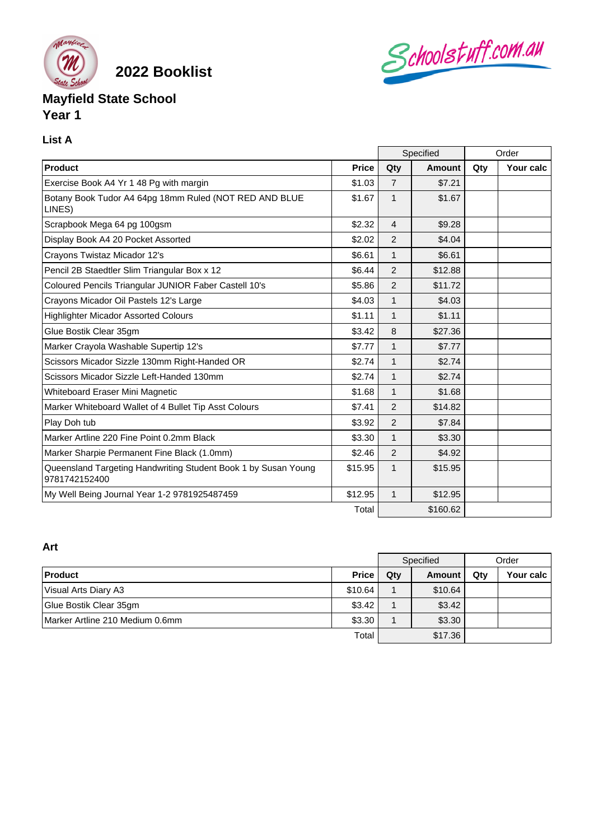

**2022 Booklist**

# **Mayfield State School Year 1**

### **List A**

|                                                                                 |              | Specified      |               | Order |           |
|---------------------------------------------------------------------------------|--------------|----------------|---------------|-------|-----------|
| Product                                                                         | <b>Price</b> | Qty            | <b>Amount</b> | Qty   | Your calc |
| Exercise Book A4 Yr 1 48 Pg with margin                                         | \$1.03       | $\overline{7}$ | \$7.21        |       |           |
| Botany Book Tudor A4 64pg 18mm Ruled (NOT RED AND BLUE<br>LINES)                | \$1.67       | $\mathbf{1}$   | \$1.67        |       |           |
| Scrapbook Mega 64 pg 100gsm                                                     | \$2.32       | $\overline{4}$ | \$9.28        |       |           |
| Display Book A4 20 Pocket Assorted                                              | \$2.02       | $\overline{2}$ | \$4.04        |       |           |
| Crayons Twistaz Micador 12's                                                    | \$6.61       | 1              | \$6.61        |       |           |
| Pencil 2B Staedtler Slim Triangular Box x 12                                    | \$6.44       | 2              | \$12.88       |       |           |
| Coloured Pencils Triangular JUNIOR Faber Castell 10's                           | \$5.86       | $\overline{2}$ | \$11.72       |       |           |
| Crayons Micador Oil Pastels 12's Large                                          | \$4.03       | $\mathbf{1}$   | \$4.03        |       |           |
| <b>Highlighter Micador Assorted Colours</b>                                     | \$1.11       | $\mathbf{1}$   | \$1.11        |       |           |
| Glue Bostik Clear 35gm                                                          | \$3.42       | 8              | \$27.36       |       |           |
| Marker Crayola Washable Supertip 12's                                           | \$7.77       | $\mathbf{1}$   | \$7.77        |       |           |
| Scissors Micador Sizzle 130mm Right-Handed OR                                   | \$2.74       | $\mathbf{1}$   | \$2.74        |       |           |
| Scissors Micador Sizzle Left-Handed 130mm                                       | \$2.74       | 1              | \$2.74        |       |           |
| Whiteboard Eraser Mini Magnetic                                                 | \$1.68       | 1              | \$1.68        |       |           |
| Marker Whiteboard Wallet of 4 Bullet Tip Asst Colours                           | \$7.41       | $\overline{2}$ | \$14.82       |       |           |
| Play Doh tub                                                                    | \$3.92       | $\overline{2}$ | \$7.84        |       |           |
| Marker Artline 220 Fine Point 0.2mm Black                                       | \$3.30       | $\mathbf{1}$   | \$3.30        |       |           |
| Marker Sharpie Permanent Fine Black (1.0mm)                                     | \$2.46       | $\mathfrak{p}$ | \$4.92        |       |           |
| Queensland Targeting Handwriting Student Book 1 by Susan Young<br>9781742152400 | \$15.95      | $\mathbf{1}$   | \$15.95       |       |           |
| My Well Being Journal Year 1-2 9781925487459                                    | \$12.95      | $\mathbf{1}$   | \$12.95       |       |           |
|                                                                                 |              |                | \$160.62      |       |           |

Schoolstuff.com.au

## **Art**

|                                         |              | Specified |         | Order |           |
|-----------------------------------------|--------------|-----------|---------|-------|-----------|
| Product                                 | <b>Price</b> | Qty       | Amount  | Qty   | Your calc |
| Visual Arts Diary A3                    | \$10.64      |           | \$10.64 |       |           |
| Glue Bostik Clear 35gm                  | \$3.42       |           | \$3.42  |       |           |
| <b>IMarker Artline 210 Medium 0.6mm</b> | \$3.30       |           | \$3.30  |       |           |
|                                         | Total        | \$17.36   |         |       |           |